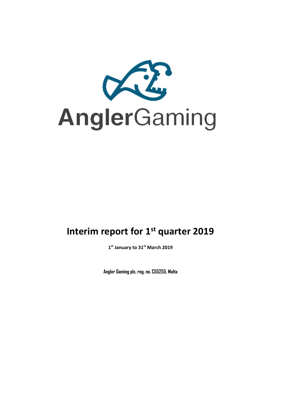

# **Interim report for 1 st quarter 2019**

**1 st January to 31st March 2019**

**Angler Gaming plc, reg. no. C55255, Malta**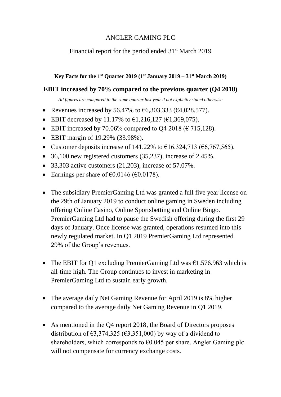# ANGLER GAMING PLC

# Financial report for the period ended 31<sup>st</sup> March 2019

# **Key Facts for the 1 st Quarter 2019 (1 st January 2019 – 31st March 2019)**

# **EBIT increased by 70% compared to the previous quarter (Q4 2018)**

*All figures are compared to the same quarter last year if not explicitly stated otherwise*

- Revenues increased by 56.47% to  $\epsilon$ 6,303,333 ( $\epsilon$ 4,028,577).
- EBIT decreased by 11.17% to  $\epsilon$ 1,216,127 ( $\epsilon$ 1,369,075).
- EBIT increased by 70.06% compared to Q4 2018 ( $\epsilon$  715,128).
- EBIT margin of 19.29% (33.98%).
- Customer deposits increase of 141.22% to  $\epsilon$ 16,324,713 ( $\epsilon$ 6,767,565).
- 36,100 new registered customers (35,237), increase of 2.45%.
- $\bullet$  33,303 active customers (21,203), increase of 57.07%.
- Earnings per share of  $\epsilon$ 0.0146 ( $\epsilon$ 0.0178).
- The subsidiary PremierGaming Ltd was granted a full five year license on the 29th of January 2019 to conduct online gaming in Sweden including offering Online Casino, Online Sportsbetting and Online Bingo. PremierGaming Ltd had to pause the Swedish offering during the first 29 days of January. Once license was granted, operations resumed into this newly regulated market. In Q1 2019 PremierGaming Ltd represented 29% of the Group's revenues.
- The EBIT for Q1 excluding PremierGaming Ltd was  $\epsilon$ 1.576.963 which is all-time high. The Group continues to invest in marketing in PremierGaming Ltd to sustain early growth.
- The average daily Net Gaming Revenue for April 2019 is 8% higher compared to the average daily Net Gaming Revenue in Q1 2019.
- As mentioned in the Q4 report 2018, the Board of Directors proposes distribution of  $\epsilon$ 3,374,325 ( $\epsilon$ 3,351,000) by way of a dividend to shareholders, which corresponds to  $\epsilon$ 0.045 per share. Angler Gaming plc will not compensate for currency exchange costs.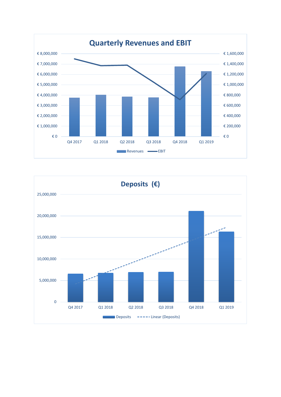

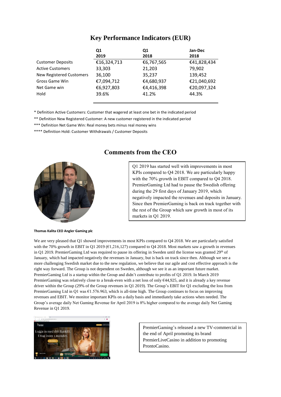### **Key Performance Indicators (EUR)**

|                          | Q1          | Q1         | Jan-Dec     |
|--------------------------|-------------|------------|-------------|
|                          | 2019        | 2018       | 2018        |
| <b>Customer Deposits</b> | €16,324,713 | €6,767,565 | €41,828,434 |
| <b>Active Customers</b>  | 33.303      | 21,203     | 79,902      |
| New Registered Customers | 36,100      | 35,237     | 139,452     |
| Gross Game Win           | €7,094,712  | €4,680,937 | €21,040,692 |
| Net Game win             | €6,927,803  | €4,416,398 | €20,097,324 |
| Hold                     | 39.6%       | 41.2%      | 44.3%       |

\* Definition Active Customers: Customer that wagered at least one bet in the indicated period

\*\* Definition New Registered Customer: A new customer registered in the indicated period

\*\*\* Definition Net Game Win: Real money bets minus real money wins

\*\*\*\* Definition Hold: Customer Withdrawals / Customer Deposits



### **Comments from the CEO**

Q1 2019 has started well with improvements in most KPIs compared to Q4 2018. We are particularly happy with the 70% growth in EBIT compared to Q4 2018. PremierGaming Ltd had to pause the Swedish offering during the 29 first days of January 2019, which negatively impacted the revenues and deposits in January. Since then PremierGaming is back on track together with the rest of the Group which saw growth in most of its markets in Q1 2019.

**Thomas Kalita CEO Angler Gaming plc**

We are very pleased that Q1 showed improvements in most KPIs compared to Q4 2018. We are particularly satisfied with the 70% growth in EBIT in Q1 2019 (€1,216,127) compared to Q4 2018. Most markets saw a growth in revenues in Q1 2019. PremierGaming Ltd was required to pause its offering in Sweden until the license was granted 29<sup>th</sup> of January, which had impacted negatively the revenues in January, but is back on track since then. Although we see a more challenging Swedish market due to the new regulation, we believe that our agile and cost effective approach is the right way forward. The Group is not dependent on Sweden, although we see it as an important future market. PremierGaming Ltd is a startup within the Group and didn't contribute to profits of Q1 2019. In March 2019 PremierGaming was relatively close to a break-even with a net loss of only €44,925, and it is already a key revenue driver within the Group (29% of the Group revenues in Q1 2019). The Group's EBIT for Q1 excluding the loss from PremierGaming Ltd in Q1 was €1.576.963, which is all-time high. The Group continues to focus on improving revenues and EBIT. We monitor important KPIs on a daily basis and immediately take actions when needed. The Group's average daily Net Gaming Revenue for April 2019 is 8% higher compared to the average daily Net Gaming Revenue in Q1 2019.



PremierGaming's released a new TV-commercial in the end of April promoting its brand PremierLiveCasino in addition to promoting ProntoCasino.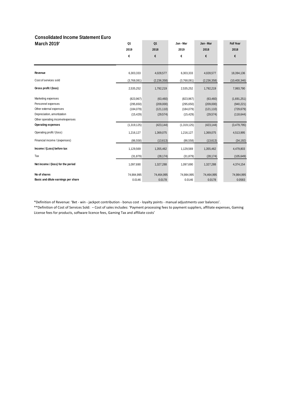#### **Consolidated Income Statement Euro**

| <b>March 2019'</b>                  | Q1          | Q <sub>1</sub> | Jan - Mar   | Jan - Mar     | <b>Full Year</b> |
|-------------------------------------|-------------|----------------|-------------|---------------|------------------|
|                                     | 2019        | 2018           | 2019        | 2018          | 2018             |
|                                     | €           | €              | €           | €             | €                |
|                                     |             |                |             |               |                  |
| Revenue                             | 6,303,333   | 4,028,577      | 6,303,333   | 4,028,577     | 18,394,136       |
| Cost of services sold               | (3,768,081) | (2, 236, 358)  | (3,768,081) | (2, 236, 358) | (10, 400, 346)   |
| Gross profit / (loss)               | 2,535,252   | 1,792,219      | 2,535,252   | 1,792,219     | 7,993,790        |
| Marketing expenses                  | (823, 967)  | (63, 460)      | (823, 967)  | (63, 460)     | (1,691,251)      |
| Personnel expenses                  | (295, 650)  | (209,000)      | (295, 650)  | (209,000)     | (940, 221)       |
| Other external expenses             | (184, 079)  | (121, 110)     | (184, 079)  | (121, 110)    | (729, 679)       |
| Depreciation, amortization          | (15, 429)   | (29, 574)      | (15, 429)   | (29, 574)     | (118, 644)       |
| Other operating income/expenses     |             |                |             |               |                  |
| <b>Operating expenses</b>           | (1,319,125) | (423, 144)     | (1,319,125) | (423, 144)    | (3,479,795)      |
| Operating profit / (loss)           | 1,216,127   | 1,369,075      | 1,216,127   | 1,369,075     | 4,513,995        |
| Financial income / (expenses)       | (86, 558)   | (13, 613)      | (86, 558)   | (13,613)      | (34, 192)        |
| Income / (Loss) before tax          | 1,129,569   | 1,355,462      | 1,129,569   | 1,355,462     | 4,479,803        |
| Tax                                 | (31, 879)   | (28, 174)      | (31, 879)   | (28, 174)     | (105, 649)       |
| Net income / (loss) for the period  | 1,097,690   | 1,327,288      | 1,097,690   | 1,327,288     | 4,374,154        |
| No of shares                        | 74,984,995  | 74,464,995     | 74,984,995  | 74,464,995    | 74,984,995       |
| Basic and dilute earnings per share | 0.0146      | 0.0178         | 0.0146      | 0.0178        | 0.0583           |

\*Definition of Revenue: 'Bet - win - jackpot contribution - bonus cost - loyalty points - manual adjustments user balances'.

\*\*Definition of Cost of Services Sold: – Cost of sales includes: 'Payment processing fees to payment suppliers, affiliate expenses, Gaming License fees for products, software licence fees, Gaming Tax and affiliate costs'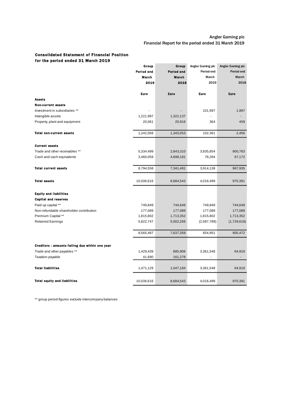#### Consolidated Statement of Financial Position for the period ended 31 March 2019

|                                                 | Group      | Group      | Angler Gaming plc | Angler Gaming plc        |
|-------------------------------------------------|------------|------------|-------------------|--------------------------|
|                                                 | Period end | Perlod end | Period end        | Period end               |
|                                                 | March      | March      | March             | March                    |
|                                                 | 2019       | 2018       | 2019              | 2018                     |
|                                                 | Euro       | Euro       | <b>Euro</b>       | <b>Euro</b>              |
| <b>Assets</b>                                   |            |            |                   |                          |
| <b>Non-current assets</b>                       |            |            |                   |                          |
| Investment in subsidiaries **                   |            |            | 101,997           | 1,997                    |
| Intangible assets                               | 1,221,997  | 1,322,137  |                   |                          |
| Property, plant and equipment                   | 20,061     | 20,916     | 364               | 459                      |
| <b>Total non-current assets</b>                 | 1,242,058  | 1,343,053  | 102,361           | 2,456                    |
| <b>Current assets</b>                           |            |            |                   |                          |
| Trade and other receivables **                  | 5,334,499  | 2,643,310  | 3,835,854         | 900,763                  |
| Cash and cash equivalents                       | 3,460,059  | 4,698,181  | 78,284            | 67,172                   |
|                                                 |            |            |                   |                          |
| <b>Total current assets</b>                     | 8,794,558  | 7,341,491  | 3,914,138         | 967,935                  |
| <b>Total assets</b>                             | 10,036,616 | 8,684,543  | 4,016,499         | 970,391                  |
| <b>Equity and liabilities</b>                   |            |            |                   |                          |
| <b>Capital and reserves</b>                     |            |            |                   |                          |
| Paid up capital **                              | 749,849    | 744,649    | 749,849           | 744,649                  |
| Non-refundable shareholder contribution         | 177,089    | 177,089    | 177,089           | 177,089                  |
| Premium Capital **                              | 1,815,802  | 1,713,352  | 1,815,802         | 1,713,352                |
| <b>Retained Earnings</b>                        | 5,822,747  | 5,002,269  | (2,087,789)       | (1,729,618)              |
|                                                 | 8,565,487  | 7,637,359  | 654,951           | 905,472                  |
| Creditors : amounts failing due within one year |            |            |                   |                          |
| Trade and other payables **                     | 1,429,439  | 885,906    | 3,361,548         | 64,919                   |
| Taxation payable                                | 41,690     | 161,278    |                   | $\overline{\phantom{a}}$ |
|                                                 |            |            |                   |                          |
| <b>Total liabilities</b>                        | 1,471,129  | 1,047,184  | 3,361,548         | 64,919                   |
| <b>Total equity and liabilities</b>             | 10,036,616 | 8,684,543  | 4,016,499         | 970,391                  |

\*\* group period figures exclude intercompany balances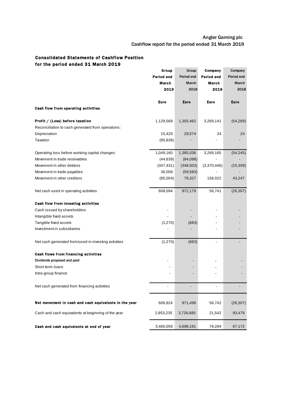### Angler Gaming plc Cashflow report for the period ended 31 March 2019

### Consolidated Statements of Cashflow Position for the period ended 31 March 2019

|                                                       | Group               | Group               | Company             | Company             |
|-------------------------------------------------------|---------------------|---------------------|---------------------|---------------------|
|                                                       | Period end<br>March | Period end<br>March | Period end<br>March | Period end<br>March |
|                                                       | 2019                | 2018                | 2019                | 2018                |
|                                                       |                     |                     |                     |                     |
|                                                       | Euro                | <b>Euro</b>         | Euro                | Euro                |
| Cash flow from operating activities                   |                     |                     |                     |                     |
| Profit / (Loss) before taxation                       | 1,129,569           | 1,355,462           | 3,269,141           | (54, 269)           |
| Reconciliation to cash generated from operations:     |                     |                     |                     |                     |
| Depreciation                                          | 15,429              | 29,574              | 24                  | 24                  |
| Taxation                                              | (95, 838)           |                     |                     |                     |
| Operating loss before working capital changes:        | 1,049,160           | 1,385,036           | 3,269,165           | (54, 245)           |
| Movement in trade receivables                         | (44, 639)           | (84,098)            |                     |                     |
| Movement in other debtors                             | (347, 431)          | (348, 503)          | (3,370,446)         | (15, 309)           |
| Movement in trade payables                            | 36,008              | (59, 583)           |                     |                     |
| Movement in other creditors                           | (85,004)            | 79,327              | 158,022             | 43,247              |
| Net cash used in operating activities                 | 608,094             | 972,179             | 56,741              | (26, 307)           |
| Cash flow from investing activities                   |                     |                     |                     |                     |
| Cash issued by shareholders                           |                     |                     |                     |                     |
| Intangible fixed assets                               |                     |                     |                     |                     |
| Tangible fixed assets                                 | (1,270)             | (683)               |                     |                     |
| Investment in subsidiaries                            |                     |                     |                     |                     |
| Net cash generated from/used in investing activities  | (1,270)             | (683)               |                     |                     |
| Cash flows from financing activities                  |                     |                     |                     |                     |
| Dividends proposed and paid                           |                     |                     |                     |                     |
| Short term loans                                      |                     |                     |                     |                     |
| Intra-group finance                                   |                     |                     |                     |                     |
| Net cash generated from financing activities          |                     |                     |                     |                     |
| Net movement in cash and cash equivalents in the year | 606,824             | 971,496             | 56,742              | (26, 307)           |
| Cash and cash equivalents at beginning of the year    | 2,853,235           | 3,726,685           | 21,542              | 93,479              |
| Cash and cash equivalents at end of year              | 3,460,059           | 4,698,181           | 78,284              | 67,172              |